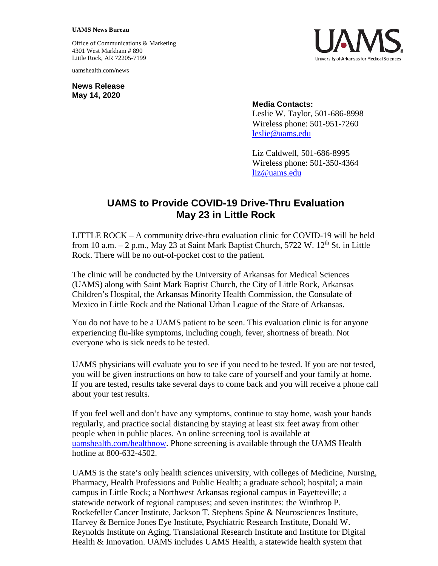## **UAMS News Bureau**

Office of Communications & Marketing 4301 West Markham # 890 Little Rock, AR 72205-7199

uamshealth.com/news

**News Release May 14, 2020**



## **Media Contacts:**

Leslie W. Taylor, 501-686-8998 Wireless phone: 501-951-7260 [leslie@uams.edu](mailto:leslie@uams.edu)

Liz Caldwell, 501-686-8995 Wireless phone: 501-350-4364 [liz@uams.edu](mailto:liz@uams.edu)

## **UAMS to Provide COVID-19 Drive-Thru Evaluation May 23 in Little Rock**

LITTLE ROCK – A community drive-thru evaluation clinic for COVID-19 will be held from 10 a.m.  $-2$  p.m., May 23 at Saint Mark Baptist Church, 5722 W. 12<sup>th</sup> St. in Little Rock. There will be no out-of-pocket cost to the patient.

The clinic will be conducted by the University of Arkansas for Medical Sciences (UAMS) along with Saint Mark Baptist Church, the City of Little Rock, Arkansas Children's Hospital, the Arkansas Minority Health Commission, the Consulate of Mexico in Little Rock and the National Urban League of the State of Arkansas.

You do not have to be a UAMS patient to be seen. This evaluation clinic is for anyone experiencing flu-like symptoms, including cough, fever, shortness of breath. Not everyone who is sick needs to be tested.

UAMS physicians will evaluate you to see if you need to be tested. If you are not tested, you will be given instructions on how to take care of yourself and your family at home. If you are tested, results take several days to come back and you will receive a phone call about your test results.

If you feel well and don't have any symptoms, continue to stay home, wash your hands regularly, and practice social distancing by staying at least six feet away from other people when in public places. An online screening tool is available at [uamshealth.com/healthnow.](https://uamshealth.com/healthnow/) Phone screening is available through the UAMS Health hotline at 800-632-4502.

UAMS is the state's only health sciences university, with colleges of Medicine, Nursing, Pharmacy, Health Professions and Public Health; a graduate school; hospital; a main campus in Little Rock; a Northwest Arkansas regional campus in Fayetteville; a statewide network of regional campuses; and seven institutes: the Winthrop P. Rockefeller Cancer Institute, Jackson T. Stephens Spine & Neurosciences Institute, Harvey & Bernice Jones Eye Institute, Psychiatric Research Institute, Donald W. Reynolds Institute on Aging, Translational Research Institute and Institute for Digital Health & Innovation. UAMS includes UAMS Health, a statewide health system that